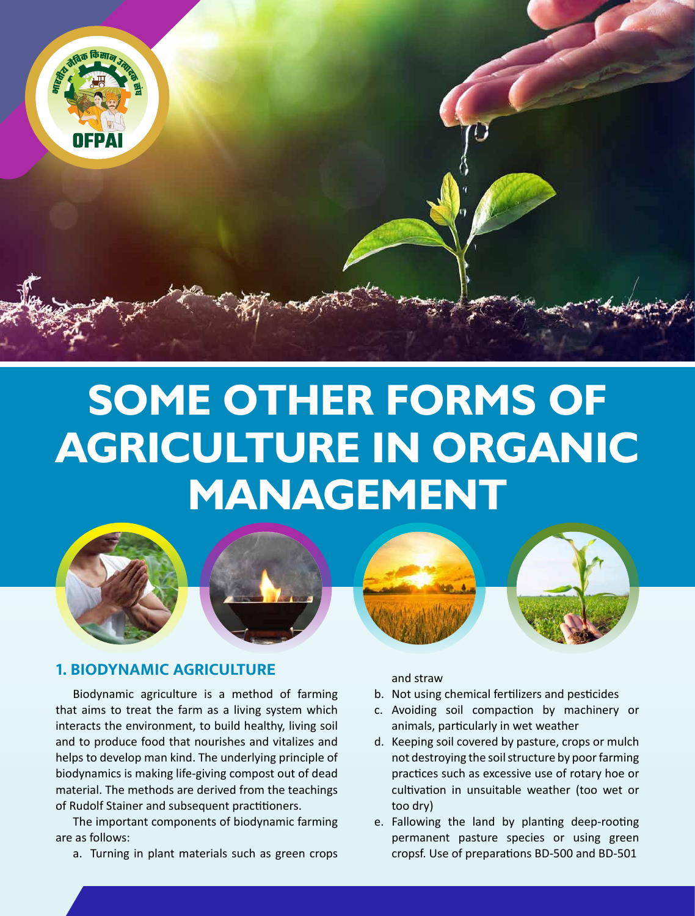

# **SOME OTHER FORMS OF AGRICULTURE IN ORGANIC MANAGEMENT**



# **1. BIODYNAMIC AGRICULTURE**

Biodynamic agriculture is a method of farming that aims to treat the farm as a living system which interacts the environment, to build healthy, living soil and to produce food that nourishes and vitalizes and helps to develop man kind. The underlying principle of biodynamics is making life-giving compost out of dead material. The methods are derived from the teachings of Rudolf Stainer and subsequent practitioners.

The important components of biodynamic farming are as follows:

a. Turning in plant materials such as green crops

and straw

- b. Not using chemical fertilizers and pesticides
- c. Avoiding soil compaction by machinery or animals, particularly in wet weather
- d. Keeping soil covered by pasture, crops or mulch not destroying the soil structure by poor farming practices such as excessive use of rotary hoe or cultivation in unsuitable weather (too wet or too dry)
- e. Fallowing the land by planting deep-rooting permanent pasture species or using green cropsf. Use of preparations BD-500 and BD-501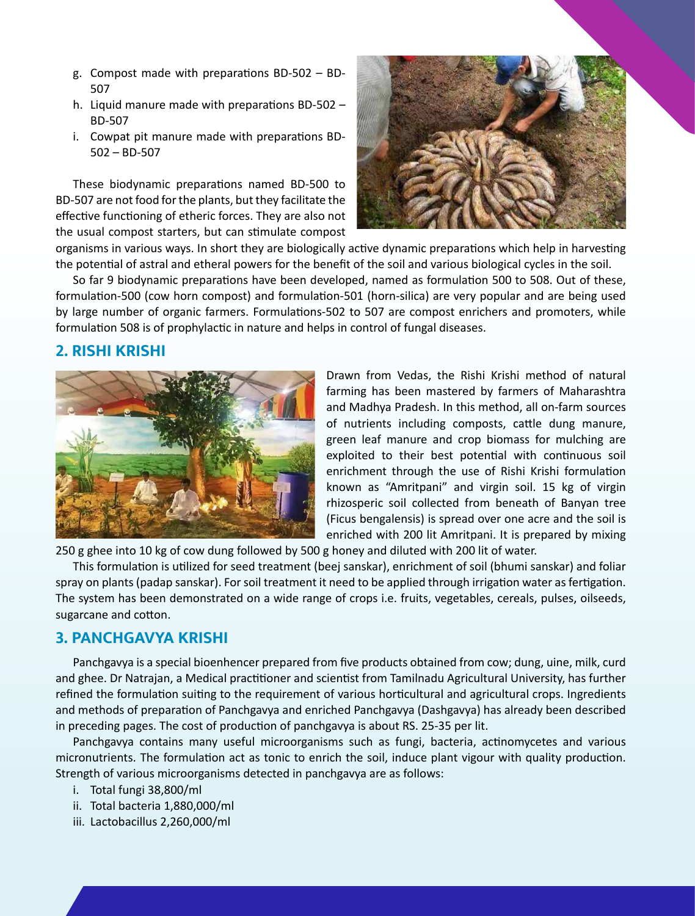- g. Compost made with preparations BD-502 BD-507
- h. Liquid manure made with preparations BD-502 BD-507
- i. Cowpat pit manure made with preparations BD-502 – BD-507

These biodynamic preparations named BD-500 to BD-507 are not food for the plants, but they facilitate the effective functioning of etheric forces. They are also not the usual compost starters, but can stimulate compost



organisms in various ways. In short they are biologically active dynamic preparations which help in harvesting the potential of astral and etheral powers for the benefit of the soil and various biological cycles in the soil.

So far 9 biodynamic preparations have been developed, named as formulation 500 to 508. Out of these, formulation-500 (cow horn compost) and formulation-501 (horn-silica) are very popular and are being used by large number of organic farmers. Formulations-502 to 507 are compost enrichers and promoters, while formulation 508 is of prophylactic in nature and helps in control of fungal diseases.

## **2. RISHI KRISHI**



Drawn from Vedas, the Rishi Krishi method of natural farming has been mastered by farmers of Maharashtra and Madhya Pradesh. In this method, all on-farm sources of nutrients including composts, cattle dung manure, green leaf manure and crop biomass for mulching are exploited to their best potential with continuous soil enrichment through the use of Rishi Krishi formulation known as "Amritpani" and virgin soil. 15 kg of virgin rhizosperic soil collected from beneath of Banyan tree (Ficus bengalensis) is spread over one acre and the soil is enriched with 200 lit Amritpani. It is prepared by mixing

250 g ghee into 10 kg of cow dung followed by 500 g honey and diluted with 200 lit of water.

This formulation is utilized for seed treatment (beej sanskar), enrichment of soil (bhumi sanskar) and foliar spray on plants (padap sanskar). For soil treatment it need to be applied through irrigation water as fertigation. The system has been demonstrated on a wide range of crops i.e. fruits, vegetables, cereals, pulses, oilseeds, sugarcane and cotton.

## **3. PANCHGAVYA KRISHI**

Panchgavya is a special bioenhencer prepared from five products obtained from cow; dung, uine, milk, curd and ghee. Dr Natrajan, a Medical practitioner and scientist from Tamilnadu Agricultural University, has further refined the formulation suiting to the requirement of various horticultural and agricultural crops. Ingredients and methods of preparation of Panchgavya and enriched Panchgavya (Dashgavya) has already been described in preceding pages. The cost of production of panchgavya is about RS. 25-35 per lit.

Panchgavya contains many useful microorganisms such as fungi, bacteria, actinomycetes and various micronutrients. The formulation act as tonic to enrich the soil, induce plant vigour with quality production. Strength of various microorganisms detected in panchgavya are as follows:

- i. Total fungi 38,800/ml
- ii. Total bacteria 1,880,000/ml
- iii. Lactobacillus 2,260,000/ml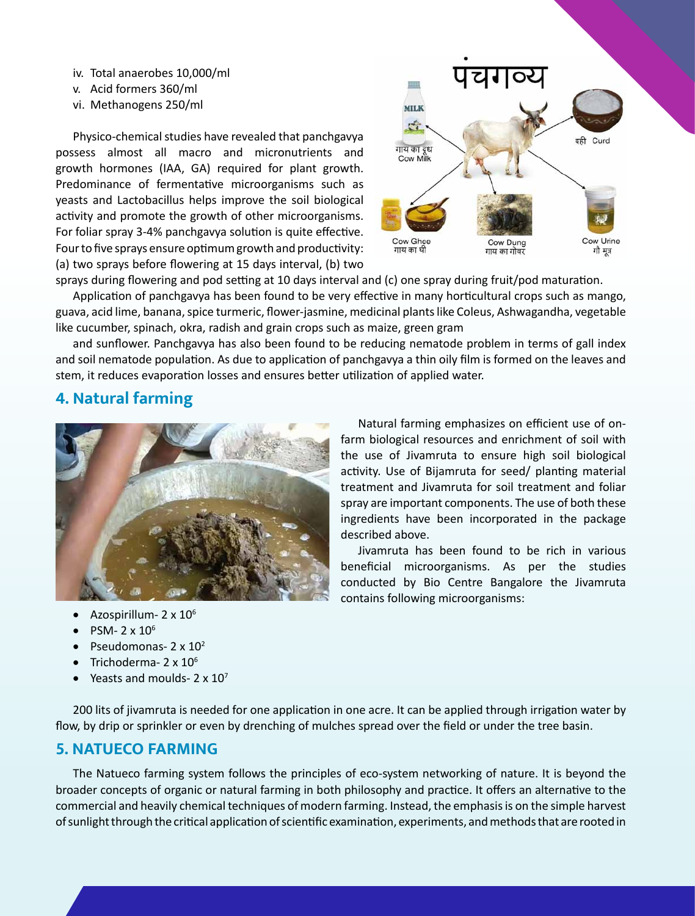- iv. Total anaerobes 10,000/ml
- v. Acid formers 360/ml
- vi. Methanogens 250/ml

Physico-chemical studies have revealed that panchgavya possess almost all macro and micronutrients and growth hormones (IAA, GA) required for plant growth. Predominance of fermentative microorganisms such as yeasts and Lactobacillus helps improve the soil biological activity and promote the growth of other microorganisms. For foliar spray 3-4% panchgavya solution is quite effective. Four to five sprays ensure optimum growth and productivity: (a) two sprays before flowering at 15 days interval, (b) two



sprays during flowering and pod setting at 10 days interval and (c) one spray during fruit/pod maturation.

Application of panchgavya has been found to be very effective in many horticultural crops such as mango, guava, acid lime, banana, spice turmeric, flower-jasmine, medicinal plants like Coleus, Ashwagandha, vegetable like cucumber, spinach, okra, radish and grain crops such as maize, green gram

and sunflower. Panchgavya has also been found to be reducing nematode problem in terms of gall index and soil nematode population. As due to application of panchgavya a thin oily film is formed on the leaves and stem, it reduces evaporation losses and ensures better utilization of applied water.

# **4. Natural farming**



Natural farming emphasizes on efficient use of onfarm biological resources and enrichment of soil with the use of Jivamruta to ensure high soil biological activity. Use of Bijamruta for seed/ planting material treatment and Jivamruta for soil treatment and foliar spray are important components. The use of both these ingredients have been incorporated in the package described above.

Jivamruta has been found to be rich in various beneficial microorganisms. As per the studies conducted by Bio Centre Bangalore the Jivamruta contains following microorganisms:

- Azospirillum-  $2 \times 10^6$
- PSM-  $2 \times 10^6$
- Pseudomonas-  $2 \times 10^2$
- Trichoderma-  $2 \times 10^6$
- Yeasts and moulds-  $2 \times 10^7$

200 lits of jivamruta is needed for one application in one acre. It can be applied through irrigation water by flow, by drip or sprinkler or even by drenching of mulches spread over the field or under the tree basin.

# **5. NATUECO FARMING**

The Natueco farming system follows the principles of eco-system networking of nature. It is beyond the broader concepts of organic or natural farming in both philosophy and practice. It offers an alternative to the commercial and heavily chemical techniques of modern farming. Instead, the emphasis is on the simple harvest of sunlight through the critical application of scientific examination, experiments, and methods that are rooted in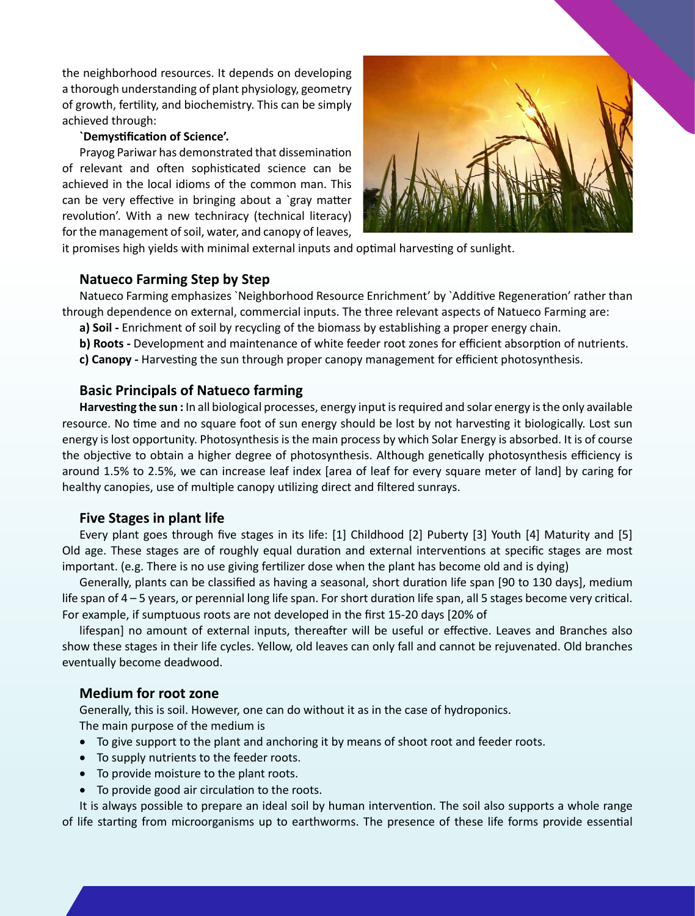the neighborhood resources. It depends on developing a thorough understanding of plant physiology, geometry of growth, fertility, and biochemistry. This can be simply achieved through:

#### **`Demystification of Science'.**

Prayog Pariwar has demonstrated that dissemination of relevant and often sophisticated science can be achieved in the local idioms of the common man. This can be very effective in bringing about a `gray matter revolution'. With a new techniracy (technical literacy) for the management of soil, water, and canopy of leaves,



it promises high yields with minimal external inputs and optimal harvesting of sunlight.

## **Natueco Farming Step by Step**

Natueco Farming emphasizes `Neighborhood Resource Enrichment' by `Additive Regeneration' rather than through dependence on external, commercial inputs. The three relevant aspects of Natueco Farming are:

- **a) Soil -** Enrichment of soil by recycling of the biomass by establishing a proper energy chain.
- **b) Roots -** Development and maintenance of white feeder root zones for efficient absorption of nutrients.
- **c) Canopy -** Harvesting the sun through proper canopy management for efficient photosynthesis.

#### **Basic Principals of Natueco farming**

**Harvesting the sun :** In all biological processes, energy input is required and solar energy is the only available resource. No time and no square foot of sun energy should be lost by not harvesting it biologically. Lost sun energy is lost opportunity. Photosynthesis is the main process by which Solar Energy is absorbed. It is of course the objective to obtain a higher degree of photosynthesis. Although genetically photosynthesis efficiency is around 1.5% to 2.5%, we can increase leaf index [area of leaf for every square meter of land] by caring for healthy canopies, use of multiple canopy utilizing direct and filtered sunrays.

#### **Five Stages in plant life**

Every plant goes through five stages in its life: [1] Childhood [2] Puberty [3] Youth [4] Maturity and [5] Old age. These stages are of roughly equal duration and external interventions at specific stages are most important. (e.g. There is no use giving fertilizer dose when the plant has become old and is dying)

Generally, plants can be classified as having a seasonal, short duration life span [90 to 130 days], medium life span of 4 – 5 years, or perennial long life span. For short duration life span, all 5 stages become very critical. For example, if sumptuous roots are not developed in the first 15-20 days [20% of

lifespan] no amount of external inputs, thereafter will be useful or effective. Leaves and Branches also show these stages in their life cycles. Yellow, old leaves can only fall and cannot be rejuvenated. Old branches eventually become deadwood.

## **Medium for root zone**

Generally, this is soil. However, one can do without it as in the case of hydroponics. The main purpose of the medium is

- To give support to the plant and anchoring it by means of shoot root and feeder roots.
- • To supply nutrients to the feeder roots.
- • To provide moisture to the plant roots.
- To provide good air circulation to the roots.

It is always possible to prepare an ideal soil by human intervention. The soil also supports a whole range of life starting from microorganisms up to earthworms. The presence of these life forms provide essential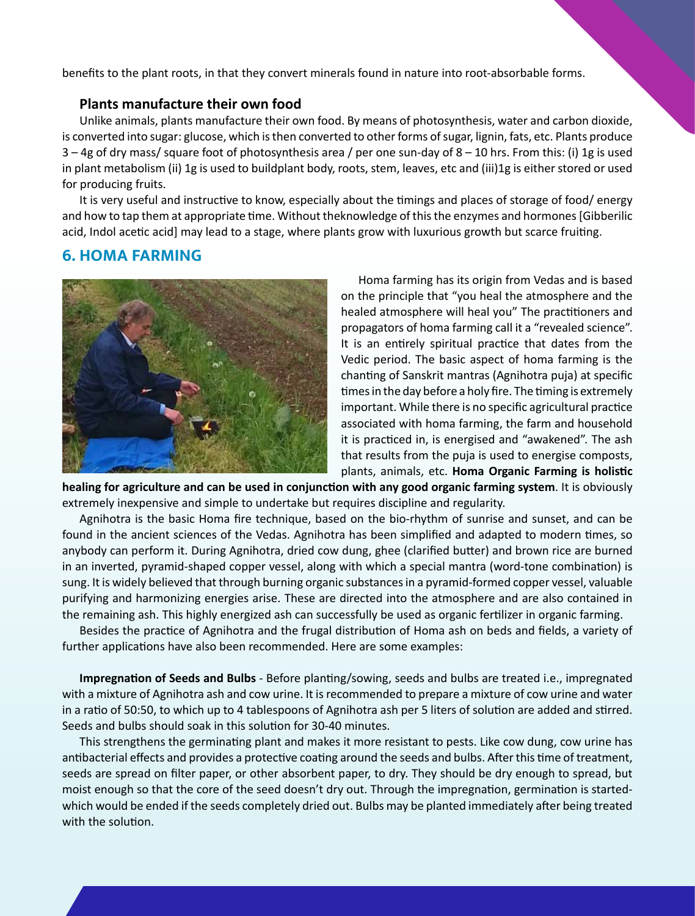benefits to the plant roots, in that they convert minerals found in nature into root-absorbable forms.

### **Plants manufacture their own food**

Unlike animals, plants manufacture their own food. By means of photosynthesis, water and carbon dioxide, is converted into sugar: glucose, which is then converted to other forms of sugar, lignin, fats, etc. Plants produce 3 – 4g of dry mass/ square foot of photosynthesis area / per one sun-day of 8 – 10 hrs. From this: (i) 1g is used in plant metabolism (ii) 1g is used to buildplant body, roots, stem, leaves, etc and (iii)1g is either stored or used for producing fruits.

It is very useful and instructive to know, especially about the timings and places of storage of food/ energy and how to tap them at appropriate time. Without theknowledge of this the enzymes and hormones [Gibberilic acid, Indol acetic acid] may lead to a stage, where plants grow with luxurious growth but scarce fruiting.

# **6. HOMA FARMING**



Homa farming has its origin from Vedas and is based on the principle that "you heal the atmosphere and the healed atmosphere will heal you" The practitioners and propagators of homa farming call it a "revealed science". It is an entirely spiritual practice that dates from the Vedic period. The basic aspect of homa farming is the chanting of Sanskrit mantras (Agnihotra puja) at specific times in the day before a holy fire. The timing is extremely important. While there is no specific agricultural practice associated with homa farming, the farm and household it is practiced in, is energised and "awakened". The ash that results from the puja is used to energise composts, plants, animals, etc. **Homa Organic Farming is holistic** 

**healing for agriculture and can be used in conjunction with any good organic farming system**. It is obviously extremely inexpensive and simple to undertake but requires discipline and regularity.

Agnihotra is the basic Homa fire technique, based on the bio-rhythm of sunrise and sunset, and can be found in the ancient sciences of the Vedas. Agnihotra has been simplified and adapted to modern times, so anybody can perform it. During Agnihotra, dried cow dung, ghee (clarified butter) and brown rice are burned in an inverted, pyramid-shaped copper vessel, along with which a special mantra (word-tone combination) is sung. It is widely believed that through burning organic substances in a pyramid-formed copper vessel, valuable purifying and harmonizing energies arise. These are directed into the atmosphere and are also contained in the remaining ash. This highly energized ash can successfully be used as organic fertilizer in organic farming.

Besides the practice of Agnihotra and the frugal distribution of Homa ash on beds and fields, a variety of further applications have also been recommended. Here are some examples:

**Impregnation of Seeds and Bulbs** - Before planting/sowing, seeds and bulbs are treated i.e., impregnated with a mixture of Agnihotra ash and cow urine. It is recommended to prepare a mixture of cow urine and water in a ratio of 50:50, to which up to 4 tablespoons of Agnihotra ash per 5 liters of solution are added and stirred. Seeds and bulbs should soak in this solution for 30-40 minutes.

This strengthens the germinating plant and makes it more resistant to pests. Like cow dung, cow urine has antibacterial effects and provides a protective coating around the seeds and bulbs. After this time of treatment, seeds are spread on filter paper, or other absorbent paper, to dry. They should be dry enough to spread, but moist enough so that the core of the seed doesn't dry out. Through the impregnation, germination is startedwhich would be ended if the seeds completely dried out. Bulbs may be planted immediately after being treated with the solution.